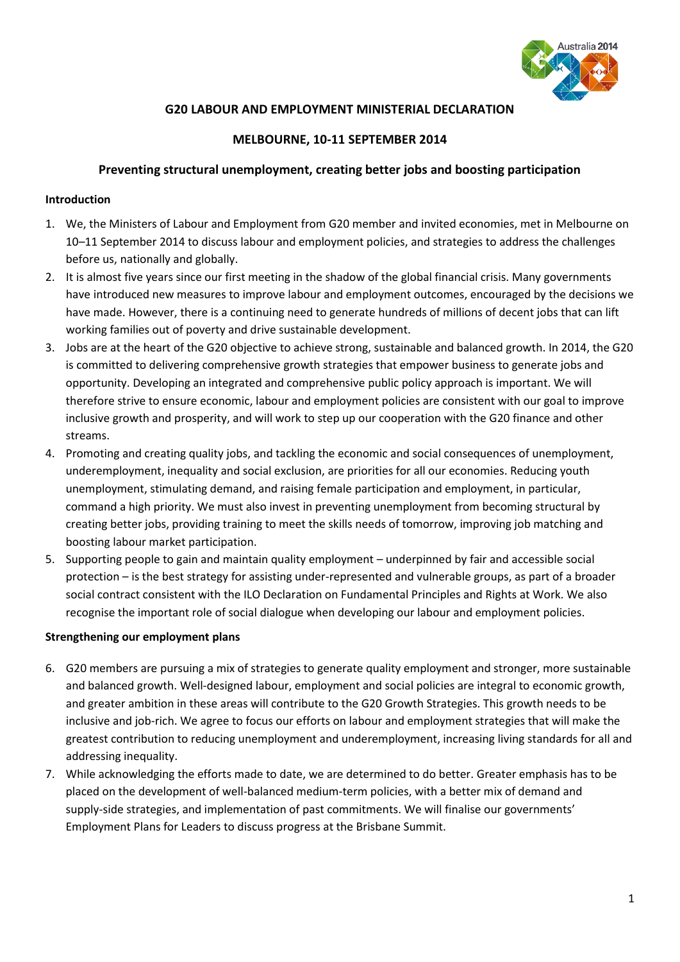

# **G20 LABOUR AND EMPLOYMENT MINISTERIAL DECLARATION**

# **MELBOURNE, 10-11 SEPTEMBER 2014**

### **Preventing structural unemployment, creating better jobs and boosting participation**

#### **Introduction**

- 1. We, the Ministers of Labour and Employment from G20 member and invited economies, met in Melbourne on 10–11 September 2014 to discuss labour and employment policies, and strategies to address the challenges before us, nationally and globally.
- 2. It is almost five years since our first meeting in the shadow of the global financial crisis. Many governments have introduced new measures to improve labour and employment outcomes, encouraged by the decisions we have made. However, there is a continuing need to generate hundreds of millions of decent jobs that can lift working families out of poverty and drive sustainable development.
- 3. Jobs are at the heart of the G20 objective to achieve strong, sustainable and balanced growth. In 2014, the G20 is committed to delivering comprehensive growth strategies that empower business to generate jobs and opportunity. Developing an integrated and comprehensive public policy approach is important. We will therefore strive to ensure economic, labour and employment policies are consistent with our goal to improve inclusive growth and prosperity, and will work to step up our cooperation with the G20 finance and other streams.
- 4. Promoting and creating quality jobs, and tackling the economic and social consequences of unemployment, underemployment, inequality and social exclusion, are priorities for all our economies. Reducing youth unemployment, stimulating demand, and raising female participation and employment, in particular, command a high priority. We must also invest in preventing unemployment from becoming structural by creating better jobs, providing training to meet the skills needs of tomorrow, improving job matching and boosting labour market participation.
- 5. Supporting people to gain and maintain quality employment underpinned by fair and accessible social protection – is the best strategy for assisting under-represented and vulnerable groups, as part of a broader social contract consistent with the ILO Declaration on Fundamental Principles and Rights at Work. We also recognise the important role of social dialogue when developing our labour and employment policies.

### **Strengthening our employment plans**

- 6. G20 members are pursuing a mix of strategies to generate quality employment and stronger, more sustainable and balanced growth. Well-designed labour, employment and social policies are integral to economic growth, and greater ambition in these areas will contribute to the G20 Growth Strategies. This growth needs to be inclusive and job-rich. We agree to focus our efforts on labour and employment strategies that will make the greatest contribution to reducing unemployment and underemployment, increasing living standards for all and addressing inequality.
- 7. While acknowledging the efforts made to date, we are determined to do better. Greater emphasis has to be placed on the development of well-balanced medium-term policies, with a better mix of demand and supply-side strategies, and implementation of past commitments. We will finalise our governments' Employment Plans for Leaders to discuss progress at the Brisbane Summit.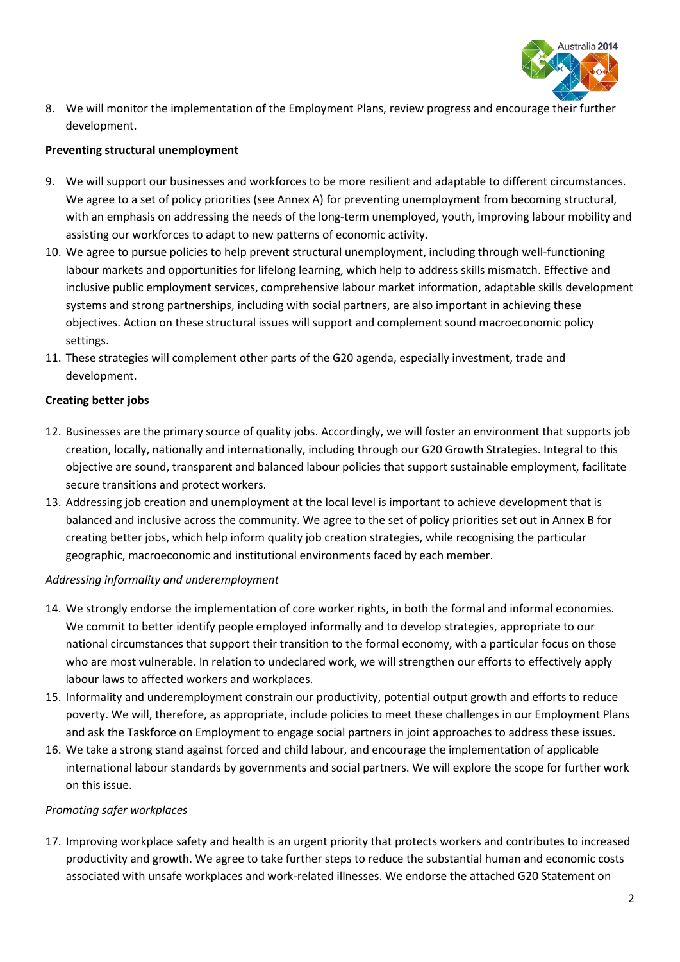

8. We will monitor the implementation of the Employment Plans, review progress and encourage their further development.

#### **Preventing structural unemployment**

- 9. We will support our businesses and workforces to be more resilient and adaptable to different circumstances. We agree to a set of policy priorities (see Annex A) for preventing unemployment from becoming structural, with an emphasis on addressing the needs of the long-term unemployed, youth, improving labour mobility and assisting our workforces to adapt to new patterns of economic activity.
- 10. We agree to pursue policies to help prevent structural unemployment, including through well-functioning labour markets and opportunities for lifelong learning, which help to address skills mismatch. Effective and inclusive public employment services, comprehensive labour market information, adaptable skills development systems and strong partnerships, including with social partners, are also important in achieving these objectives. Action on these structural issues will support and complement sound macroeconomic policy settings.
- 11. These strategies will complement other parts of the G20 agenda, especially investment, trade and development.

#### **Creating better jobs**

- 12. Businesses are the primary source of quality jobs. Accordingly, we will foster an environment that supports job creation, locally, nationally and internationally, including through our G20 Growth Strategies. Integral to this objective are sound, transparent and balanced labour policies that support sustainable employment, facilitate secure transitions and protect workers.
- 13. Addressing job creation and unemployment at the local level is important to achieve development that is balanced and inclusive across the community. We agree to the set of policy priorities set out in Annex B for creating better jobs, which help inform quality job creation strategies, while recognising the particular geographic, macroeconomic and institutional environments faced by each member.

#### *Addressing informality and underemployment*

- 14. We strongly endorse the implementation of core worker rights, in both the formal and informal economies. We commit to better identify people employed informally and to develop strategies, appropriate to our national circumstances that support their transition to the formal economy, with a particular focus on those who are most vulnerable. In relation to undeclared work, we will strengthen our efforts to effectively apply labour laws to affected workers and workplaces.
- 15. Informality and underemployment constrain our productivity, potential output growth and efforts to reduce poverty. We will, therefore, as appropriate, include policies to meet these challenges in our Employment Plans and ask the Taskforce on Employment to engage social partners in joint approaches to address these issues.
- 16. We take a strong stand against forced and child labour, and encourage the implementation of applicable international labour standards by governments and social partners. We will explore the scope for further work on this issue.

#### *Promoting safer workplaces*

17. Improving workplace safety and health is an urgent priority that protects workers and contributes to increased productivity and growth. We agree to take further steps to reduce the substantial human and economic costs associated with unsafe workplaces and work-related illnesses. We endorse the attached G20 Statement on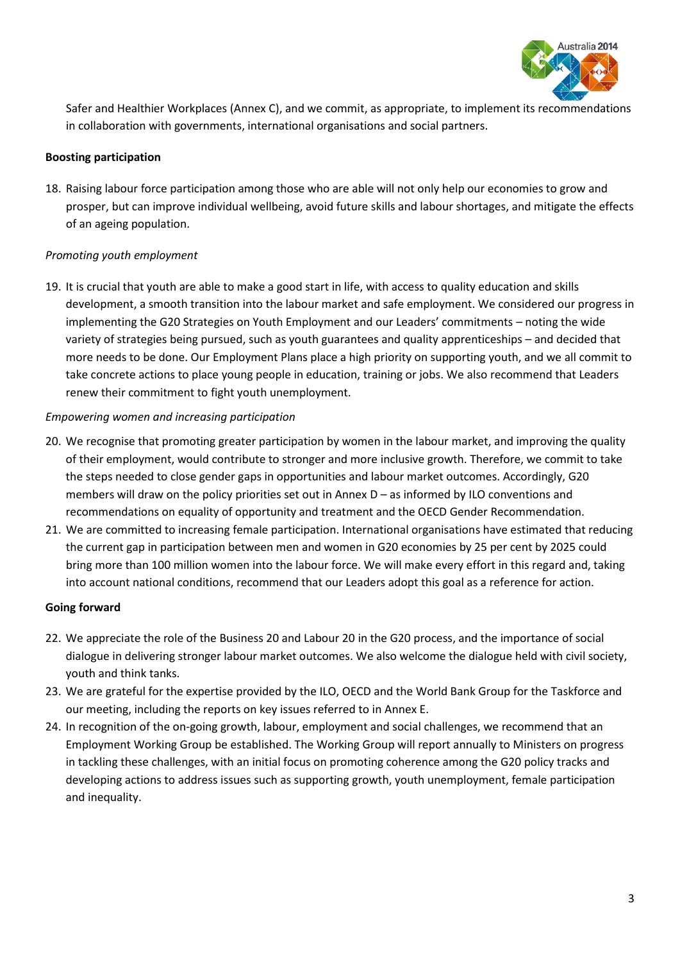

Safer and Healthier Workplaces (Annex C), and we commit, as appropriate, to implement its recommendations in collaboration with governments, international organisations and social partners.

### **Boosting participation**

18. Raising labour force participation among those who are able will not only help our economies to grow and prosper, but can improve individual wellbeing, avoid future skills and labour shortages, and mitigate the effects of an ageing population.

# *Promoting youth employment*

19. It is crucial that youth are able to make a good start in life, with access to quality education and skills development, a smooth transition into the labour market and safe employment. We considered our progress in implementing the G20 Strategies on Youth Employment and our Leaders' commitments – noting the wide variety of strategies being pursued, such as youth guarantees and quality apprenticeships – and decided that more needs to be done. Our Employment Plans place a high priority on supporting youth, and we all commit to take concrete actions to place young people in education, training or jobs. We also recommend that Leaders renew their commitment to fight youth unemployment.

# *Empowering women and increasing participation*

- 20. We recognise that promoting greater participation by women in the labour market, and improving the quality of their employment, would contribute to stronger and more inclusive growth. Therefore, we commit to take the steps needed to close gender gaps in opportunities and labour market outcomes. Accordingly, G20 members will draw on the policy priorities set out in Annex D – as informed by ILO conventions and recommendations on equality of opportunity and treatment and the OECD Gender Recommendation.
- 21. We are committed to increasing female participation. International organisations have estimated that reducing the current gap in participation between men and women in G20 economies by 25 per cent by 2025 could bring more than 100 million women into the labour force. We will make every effort in this regard and, taking into account national conditions, recommend that our Leaders adopt this goal as a reference for action.

### **Going forward**

- 22. We appreciate the role of the Business 20 and Labour 20 in the G20 process, and the importance of social dialogue in delivering stronger labour market outcomes. We also welcome the dialogue held with civil society, youth and think tanks.
- 23. We are grateful for the expertise provided by the ILO, OECD and the World Bank Group for the Taskforce and our meeting, including the reports on key issues referred to in Annex E.
- 24. In recognition of the on-going growth, labour, employment and social challenges, we recommend that an Employment Working Group be established. The Working Group will report annually to Ministers on progress in tackling these challenges, with an initial focus on promoting coherence among the G20 policy tracks and developing actions to address issues such as supporting growth, youth unemployment, female participation and inequality.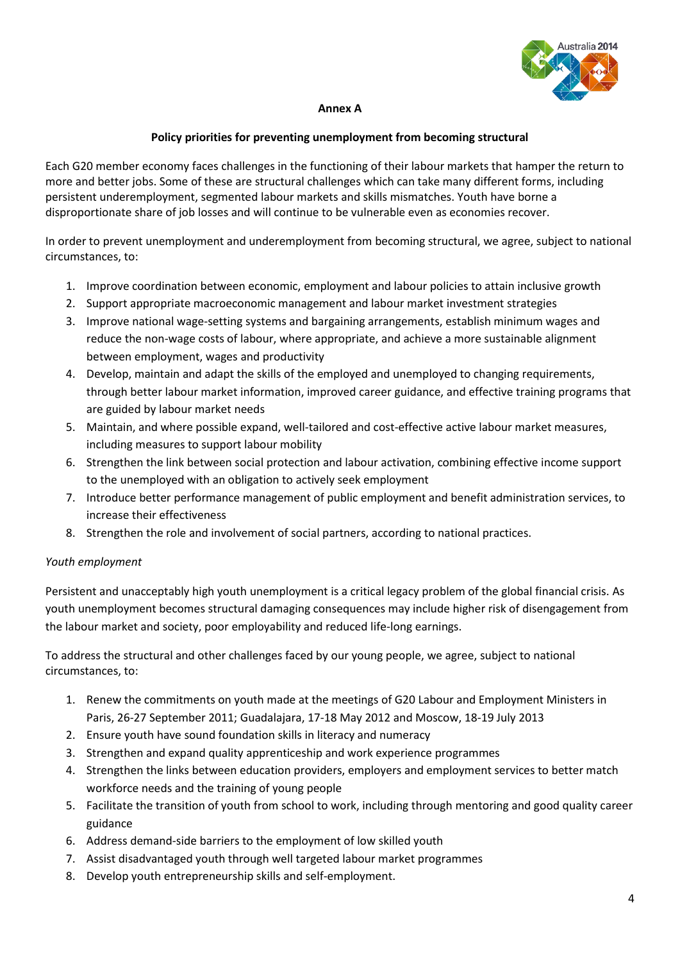

## **Annex A**

## **Policy priorities for preventing unemployment from becoming structural**

Each G20 member economy faces challenges in the functioning of their labour markets that hamper the return to more and better jobs. Some of these are structural challenges which can take many different forms, including persistent underemployment, segmented labour markets and skills mismatches. Youth have borne a disproportionate share of job losses and will continue to be vulnerable even as economies recover.

In order to prevent unemployment and underemployment from becoming structural, we agree, subject to national circumstances, to:

- 1. Improve coordination between economic, employment and labour policies to attain inclusive growth
- 2. Support appropriate macroeconomic management and labour market investment strategies
- 3. Improve national wage-setting systems and bargaining arrangements, establish minimum wages and reduce the non-wage costs of labour, where appropriate, and achieve a more sustainable alignment between employment, wages and productivity
- 4. Develop, maintain and adapt the skills of the employed and unemployed to changing requirements, through better labour market information, improved career guidance, and effective training programs that are guided by labour market needs
- 5. Maintain, and where possible expand, well-tailored and cost-effective active labour market measures, including measures to support labour mobility
- 6. Strengthen the link between social protection and labour activation, combining effective income support to the unemployed with an obligation to actively seek employment
- 7. Introduce better performance management of public employment and benefit administration services, to increase their effectiveness
- 8. Strengthen the role and involvement of social partners, according to national practices.

### *Youth employment*

Persistent and unacceptably high youth unemployment is a critical legacy problem of the global financial crisis. As youth unemployment becomes structural damaging consequences may include higher risk of disengagement from the labour market and society, poor employability and reduced life-long earnings.

To address the structural and other challenges faced by our young people, we agree, subject to national circumstances, to:

- 1. Renew the commitments on youth made at the meetings of G20 Labour and Employment Ministers in Paris, 26-27 September 2011; Guadalajara, 17-18 May 2012 and Moscow, 18-19 July 2013
- 2. Ensure youth have sound foundation skills in literacy and numeracy
- 3. Strengthen and expand quality apprenticeship and work experience programmes
- 4. Strengthen the links between education providers, employers and employment services to better match workforce needs and the training of young people
- 5. Facilitate the transition of youth from school to work, including through mentoring and good quality career guidance
- 6. Address demand-side barriers to the employment of low skilled youth
- 7. Assist disadvantaged youth through well targeted labour market programmes
- 8. Develop youth entrepreneurship skills and self-employment.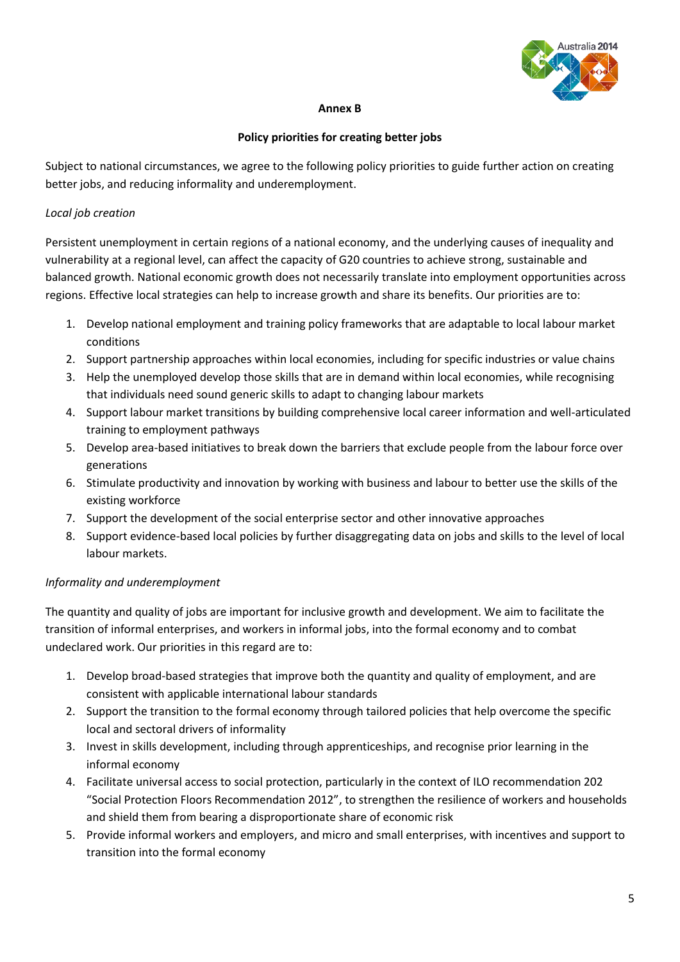

### **Annex B**

## **Policy priorities for creating better jobs**

Subject to national circumstances, we agree to the following policy priorities to guide further action on creating better jobs, and reducing informality and underemployment.

# *Local job creation*

Persistent unemployment in certain regions of a national economy, and the underlying causes of inequality and vulnerability at a regional level, can affect the capacity of G20 countries to achieve strong, sustainable and balanced growth. National economic growth does not necessarily translate into employment opportunities across regions. Effective local strategies can help to increase growth and share its benefits. Our priorities are to:

- 1. Develop national employment and training policy frameworks that are adaptable to local labour market conditions
- 2. Support partnership approaches within local economies, including for specific industries or value chains
- 3. Help the unemployed develop those skills that are in demand within local economies, while recognising that individuals need sound generic skills to adapt to changing labour markets
- 4. Support labour market transitions by building comprehensive local career information and well-articulated training to employment pathways
- 5. Develop area-based initiatives to break down the barriers that exclude people from the labour force over generations
- 6. Stimulate productivity and innovation by working with business and labour to better use the skills of the existing workforce
- 7. Support the development of the social enterprise sector and other innovative approaches
- 8. Support evidence-based local policies by further disaggregating data on jobs and skills to the level of local labour markets.

# *Informality and underemployment*

The quantity and quality of jobs are important for inclusive growth and development. We aim to facilitate the transition of informal enterprises, and workers in informal jobs, into the formal economy and to combat undeclared work. Our priorities in this regard are to:

- 1. Develop broad-based strategies that improve both the quantity and quality of employment, and are consistent with applicable international labour standards
- 2. Support the transition to the formal economy through tailored policies that help overcome the specific local and sectoral drivers of informality
- 3. Invest in skills development, including through apprenticeships, and recognise prior learning in the informal economy
- 4. Facilitate universal access to social protection, particularly in the context of ILO recommendation 202 "Social Protection Floors Recommendation 2012", to strengthen the resilience of workers and households and shield them from bearing a disproportionate share of economic risk
- 5. Provide informal workers and employers, and micro and small enterprises, with incentives and support to transition into the formal economy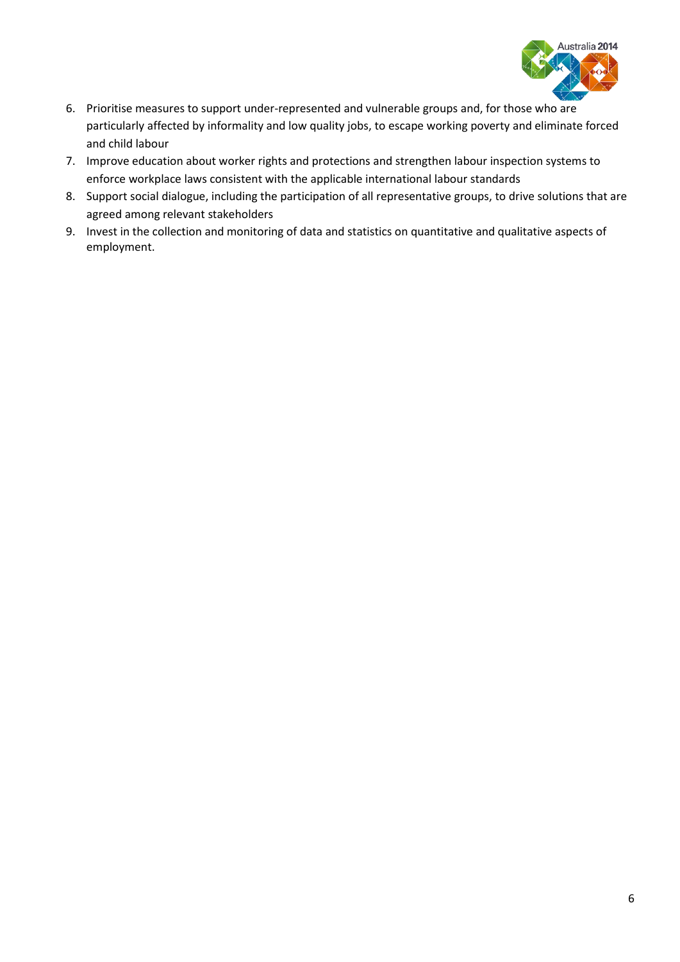

- 6. Prioritise measures to support under-represented and vulnerable groups and, for those who are particularly affected by informality and low quality jobs, to escape working poverty and eliminate forced and child labour
- 7. Improve education about worker rights and protections and strengthen labour inspection systems to enforce workplace laws consistent with the applicable international labour standards
- 8. Support social dialogue, including the participation of all representative groups, to drive solutions that are agreed among relevant stakeholders
- 9. Invest in the collection and monitoring of data and statistics on quantitative and qualitative aspects of employment.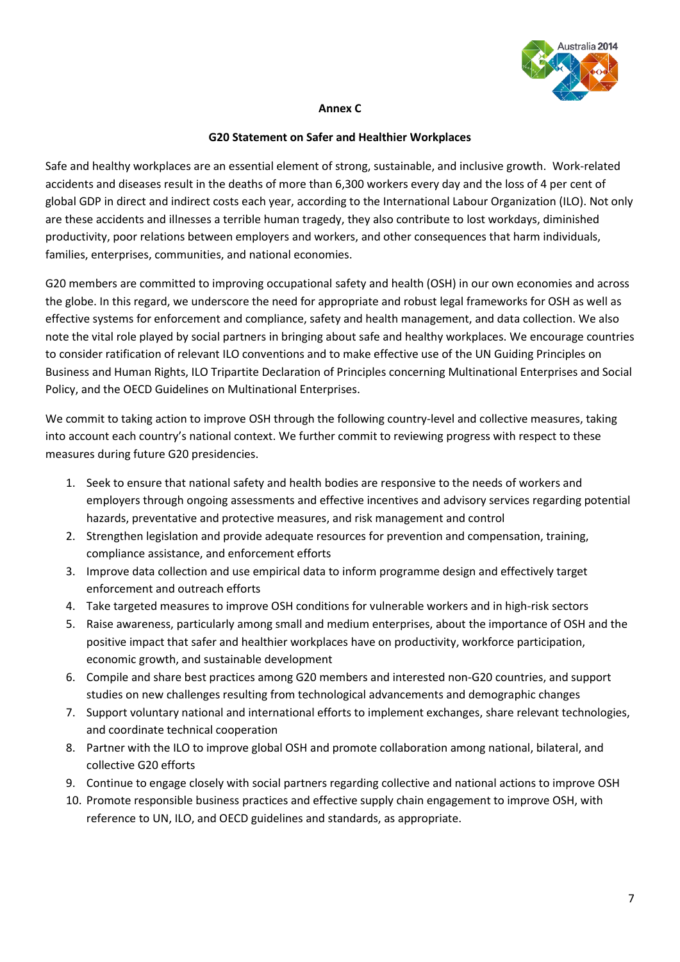

#### **Annex C**

#### **G20 Statement on Safer and Healthier Workplaces**

Safe and healthy workplaces are an essential element of strong, sustainable, and inclusive growth. Work-related accidents and diseases result in the deaths of more than 6,300 workers every day and the loss of 4 per cent of global GDP in direct and indirect costs each year, according to the International Labour Organization (ILO). Not only are these accidents and illnesses a terrible human tragedy, they also contribute to lost workdays, diminished productivity, poor relations between employers and workers, and other consequences that harm individuals, families, enterprises, communities, and national economies.

G20 members are committed to improving occupational safety and health (OSH) in our own economies and across the globe. In this regard, we underscore the need for appropriate and robust legal frameworks for OSH as well as effective systems for enforcement and compliance, safety and health management, and data collection. We also note the vital role played by social partners in bringing about safe and healthy workplaces. We encourage countries to consider ratification of relevant ILO conventions and to make effective use of the UN Guiding Principles on Business and Human Rights, ILO Tripartite Declaration of Principles concerning Multinational Enterprises and Social Policy, and the OECD Guidelines on Multinational Enterprises.

We commit to taking action to improve OSH through the following country-level and collective measures, taking into account each country's national context. We further commit to reviewing progress with respect to these measures during future G20 presidencies.

- 1. Seek to ensure that national safety and health bodies are responsive to the needs of workers and employers through ongoing assessments and effective incentives and advisory services regarding potential hazards, preventative and protective measures, and risk management and control
- 2. Strengthen legislation and provide adequate resources for prevention and compensation, training, compliance assistance, and enforcement efforts
- 3. Improve data collection and use empirical data to inform programme design and effectively target enforcement and outreach efforts
- 4. Take targeted measures to improve OSH conditions for vulnerable workers and in high-risk sectors
- 5. Raise awareness, particularly among small and medium enterprises, about the importance of OSH and the positive impact that safer and healthier workplaces have on productivity, workforce participation, economic growth, and sustainable development
- 6. Compile and share best practices among G20 members and interested non-G20 countries, and support studies on new challenges resulting from technological advancements and demographic changes
- 7. Support voluntary national and international efforts to implement exchanges, share relevant technologies, and coordinate technical cooperation
- 8. Partner with the ILO to improve global OSH and promote collaboration among national, bilateral, and collective G20 efforts
- 9. Continue to engage closely with social partners regarding collective and national actions to improve OSH
- 10. Promote responsible business practices and effective supply chain engagement to improve OSH, with reference to UN, ILO, and OECD guidelines and standards, as appropriate.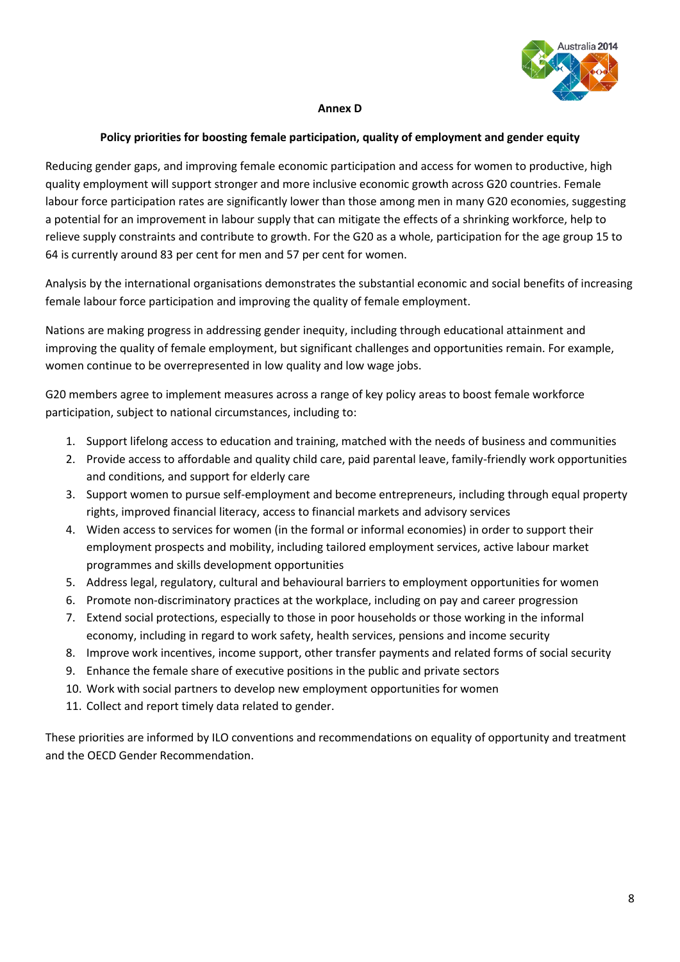

### **Annex D**

#### **Policy priorities for boosting female participation, quality of employment and gender equity**

Reducing gender gaps, and improving female economic participation and access for women to productive, high quality employment will support stronger and more inclusive economic growth across G20 countries. Female labour force participation rates are significantly lower than those among men in many G20 economies, suggesting a potential for an improvement in labour supply that can mitigate the effects of a shrinking workforce, help to relieve supply constraints and contribute to growth. For the G20 as a whole, participation for the age group 15 to 64 is currently around 83 per cent for men and 57 per cent for women.

Analysis by the international organisations demonstrates the substantial economic and social benefits of increasing female labour force participation and improving the quality of female employment.

Nations are making progress in addressing gender inequity, including through educational attainment and improving the quality of female employment, but significant challenges and opportunities remain. For example, women continue to be overrepresented in low quality and low wage jobs.

G20 members agree to implement measures across a range of key policy areas to boost female workforce participation, subject to national circumstances, including to:

- 1. Support lifelong access to education and training, matched with the needs of business and communities
- 2. Provide access to affordable and quality child care, paid parental leave, family-friendly work opportunities and conditions, and support for elderly care
- 3. Support women to pursue self-employment and become entrepreneurs, including through equal property rights, improved financial literacy, access to financial markets and advisory services
- 4. Widen access to services for women (in the formal or informal economies) in order to support their employment prospects and mobility, including tailored employment services, active labour market programmes and skills development opportunities
- 5. Address legal, regulatory, cultural and behavioural barriers to employment opportunities for women
- 6. Promote non-discriminatory practices at the workplace, including on pay and career progression
- 7. Extend social protections, especially to those in poor households or those working in the informal economy, including in regard to work safety, health services, pensions and income security
- 8. Improve work incentives, income support, other transfer payments and related forms of social security
- 9. Enhance the female share of executive positions in the public and private sectors
- 10. Work with social partners to develop new employment opportunities for women
- 11. Collect and report timely data related to gender.

These priorities are informed by ILO conventions and recommendations on equality of opportunity and treatment and the OECD Gender Recommendation.